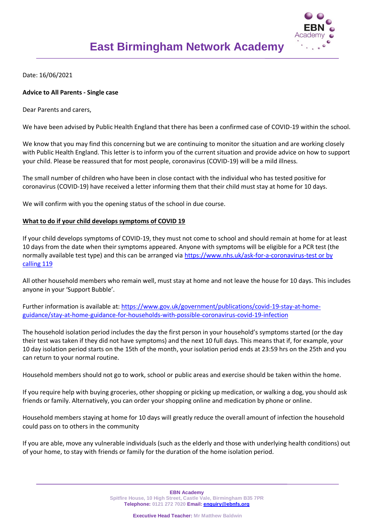

Date: 16/06/2021

## **Advice to All Parents - Single case**

Dear Parents and carers,

We have been advised by Public Health England that there has been a confirmed case of COVID-19 within the school.

We know that you may find this concerning but we are continuing to monitor the situation and are working closely with Public Health England. This letter is to inform you of the current situation and provide advice on how to support your child. Please be reassured that for most people, coronavirus (COVID-19) will be a mild illness.

The small number of children who have been in close contact with the individual who has tested positive for coronavirus (COVID-19) have received a letter informing them that their child must stay at home for 10 days.

We will confirm with you the opening status of the school in due course.

## **What to do if your child develops symptoms of COVID 19**

If your child develops symptoms of COVID-19, they must not come to school and should remain at home for at least 10 days from the date when their symptoms appeared. Anyone with symptoms will be eligible for a PCR test (the normally available test type) and this can be arranged via https://www.nhs.uk/ask-for-a-coronavirus-test or by [calling 119](https://www.nhs.uk/ask-for-a-coronavirus-test%20or%20by%20calling%20119)

All other household members who remain well, must stay at home and not leave the house for 10 days. This includes anyone in your 'Support Bubble'.

Further information is available at: [https://www.gov.uk/government/publications/covid-19-stay-at-home](https://www.gov.uk/government/publications/covid-19-stay-at-home-guidance/stay-at-home-guidance-for-households-with-possible-coronavirus-covid-19-infection)[guidance/stay-at-home-guidance-for-households-with-possible-coronavirus-covid-19-infection](https://www.gov.uk/government/publications/covid-19-stay-at-home-guidance/stay-at-home-guidance-for-households-with-possible-coronavirus-covid-19-infection)

The household isolation period includes the day the first person in your household's symptoms started (or the day their test was taken if they did not have symptoms) and the next 10 full days. This means that if, for example, your 10 day isolation period starts on the 15th of the month, your isolation period ends at 23:59 hrs on the 25th and you can return to your normal routine.

Household members should not go to work, school or public areas and exercise should be taken within the home.

If you require help with buying groceries, other shopping or picking up medication, or walking a dog, you should ask friends or family. Alternatively, you can order your shopping online and medication by phone or online.

Household members staying at home for 10 days will greatly reduce the overall amount of infection the household could pass on to others in the community

If you are able, move any vulnerable individuals (such as the elderly and those with underlying health conditions) out of your home, to stay with friends or family for the duration of the home isolation period.

> **EBN Academy Spitfire House, 10 High Street, Castle Vale, Birmingham B35 7PR Telephone: 0121 272 7020 Email: [enquiry@ebnfs.org](mailto:enquiry@ebnfs.org)**